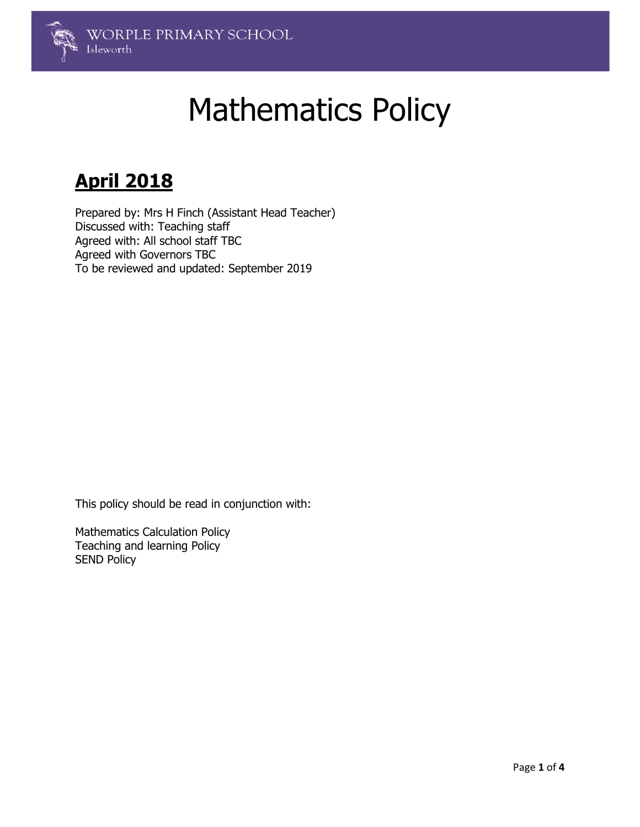

# Mathematics Policy

# **April 2018**

Prepared by: Mrs H Finch (Assistant Head Teacher) Discussed with: Teaching staff Agreed with: All school staff TBC Agreed with Governors TBC To be reviewed and updated: September 2019

This policy should be read in conjunction with:

Mathematics Calculation Policy Teaching and learning Policy SEND Policy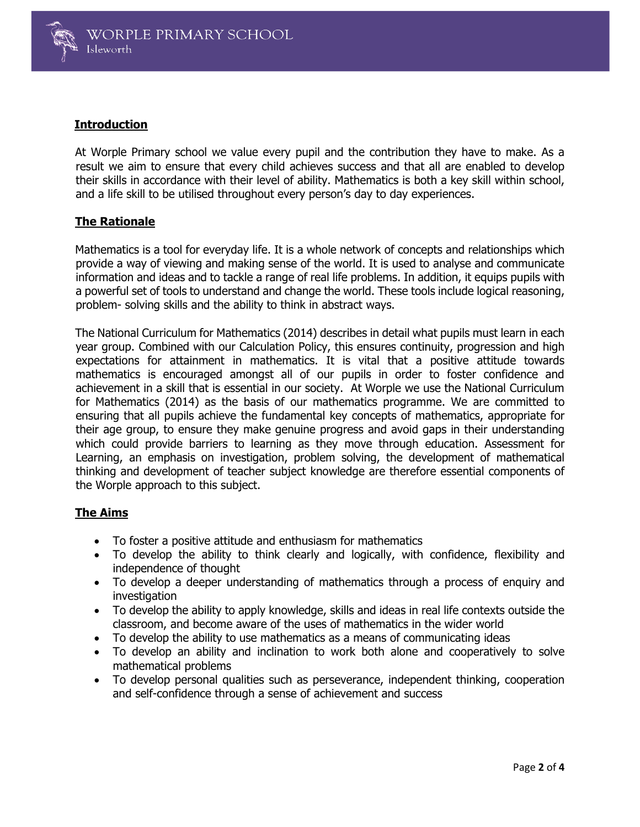

# **Introduction**

At Worple Primary school we value every pupil and the contribution they have to make. As a result we aim to ensure that every child achieves success and that all are enabled to develop their skills in accordance with their level of ability. Mathematics is both a key skill within school, and a life skill to be utilised throughout every person's day to day experiences.

# **The Rationale**

Mathematics is a tool for everyday life. It is a whole network of concepts and relationships which provide a way of viewing and making sense of the world. It is used to analyse and communicate information and ideas and to tackle a range of real life problems. In addition, it equips pupils with a powerful set of tools to understand and change the world. These tools include logical reasoning, problem- solving skills and the ability to think in abstract ways.

The National Curriculum for Mathematics (2014) describes in detail what pupils must learn in each year group. Combined with our Calculation Policy, this ensures continuity, progression and high expectations for attainment in mathematics. It is vital that a positive attitude towards mathematics is encouraged amongst all of our pupils in order to foster confidence and achievement in a skill that is essential in our society. At Worple we use the National Curriculum for Mathematics (2014) as the basis of our mathematics programme. We are committed to ensuring that all pupils achieve the fundamental key concepts of mathematics, appropriate for their age group, to ensure they make genuine progress and avoid gaps in their understanding which could provide barriers to learning as they move through education. Assessment for Learning, an emphasis on investigation, problem solving, the development of mathematical thinking and development of teacher subject knowledge are therefore essential components of the Worple approach to this subject.

# **The Aims**

- To foster a positive attitude and enthusiasm for mathematics
- To develop the ability to think clearly and logically, with confidence, flexibility and independence of thought
- To develop a deeper understanding of mathematics through a process of enquiry and investigation
- To develop the ability to apply knowledge, skills and ideas in real life contexts outside the classroom, and become aware of the uses of mathematics in the wider world
- To develop the ability to use mathematics as a means of communicating ideas
- To develop an ability and inclination to work both alone and cooperatively to solve mathematical problems
- To develop personal qualities such as perseverance, independent thinking, cooperation and self-confidence through a sense of achievement and success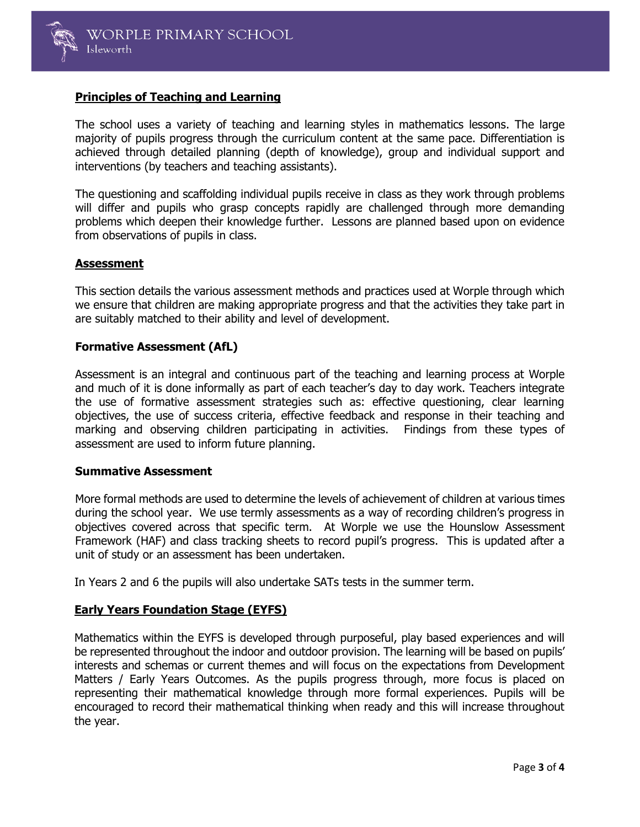

# **Principles of Teaching and Learning**

The school uses a variety of teaching and learning styles in mathematics lessons. The large majority of pupils progress through the curriculum content at the same pace. Differentiation is achieved through detailed planning (depth of knowledge), group and individual support and interventions (by teachers and teaching assistants).

The questioning and scaffolding individual pupils receive in class as they work through problems will differ and pupils who grasp concepts rapidly are challenged through more demanding problems which deepen their knowledge further. Lessons are planned based upon on evidence from observations of pupils in class.

#### **Assessment**

This section details the various assessment methods and practices used at Worple through which we ensure that children are making appropriate progress and that the activities they take part in are suitably matched to their ability and level of development.

#### **Formative Assessment (AfL)**

Assessment is an integral and continuous part of the teaching and learning process at Worple and much of it is done informally as part of each teacher's day to day work. Teachers integrate the use of formative assessment strategies such as: effective questioning, clear learning objectives, the use of success criteria, effective feedback and response in their teaching and marking and observing children participating in activities. Findings from these types of assessment are used to inform future planning.

#### **Summative Assessment**

More formal methods are used to determine the levels of achievement of children at various times during the school year. We use termly assessments as a way of recording children's progress in objectives covered across that specific term. At Worple we use the Hounslow Assessment Framework (HAF) and class tracking sheets to record pupil's progress. This is updated after a unit of study or an assessment has been undertaken.

In Years 2 and 6 the pupils will also undertake SATs tests in the summer term.

# **Early Years Foundation Stage (EYFS)**

Mathematics within the EYFS is developed through purposeful, play based experiences and will be represented throughout the indoor and outdoor provision. The learning will be based on pupils' interests and schemas or current themes and will focus on the expectations from Development Matters / Early Years Outcomes. As the pupils progress through, more focus is placed on representing their mathematical knowledge through more formal experiences. Pupils will be encouraged to record their mathematical thinking when ready and this will increase throughout the year.